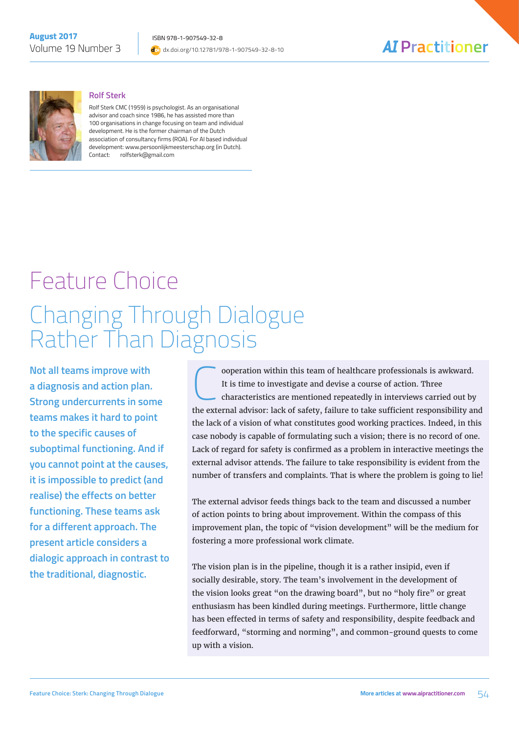



#### **Rolf Sterk**

Rolf Sterk CMC (1959) is psychologist. As an organisational advisor and coach since 1986, he has assisted more than 100 organisations in change focusing on team and individual development. He is the former chairman of the Dutch association of consultancy firms (ROA). For AI based individual development: www.persoonlijkmeesterschap.org (in Dutch). Contact: rolfsterk@gmail.com

# Feature Choice Changing Through Dialogue Rather Than Diagnosis

**Not all teams improve with a diagnosis and action plan. Strong undercurrents in some teams makes it hard to point to the specific causes of suboptimal functioning. And if you cannot point at the causes, it is impossible to predict (and realise) the effects on better functioning. These teams ask for a different approach. The present article considers a dialogic approach in contrast to the traditional, diagnostic.** 

**C** ooperation within this team of healthcare professionals is awkward.<br>It is time to investigate and devise a course of action. Three<br>characteristics are mentioned repeatedly in interviews carried out by<br>the automal advis It is time to investigate and devise a course of action. Three characteristics are mentioned repeatedly in interviews carried out by the external advisor: lack of safety, failure to take sufficient responsibility and the lack of a vision of what constitutes good working practices. Indeed, in this case nobody is capable of formulating such a vision; there is no record of one. Lack of regard for safety is confirmed as a problem in interactive meetings the external advisor attends. The failure to take responsibility is evident from the number of transfers and complaints. That is where the problem is going to lie!

The external advisor feeds things back to the team and discussed a number of action points to bring about improvement. Within the compass of this improvement plan, the topic of "vision development" will be the medium for fostering a more professional work climate.

The vision plan is in the pipeline, though it is a rather insipid, even if socially desirable, story. The team's involvement in the development of the vision looks great "on the drawing board", but no "holy fire" or great enthusiasm has been kindled during meetings. Furthermore, little change has been effected in terms of safety and responsibility, despite feedback and feedforward, "storming and norming", and common-ground quests to come up with a vision.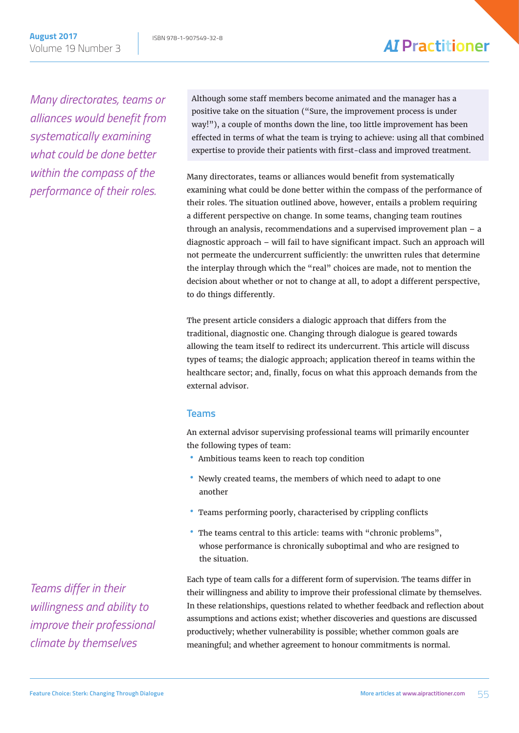*Many directorates, teams or alliances would benefit from systematically examining what could be done better within the compass of the performance of their roles.*

Although some staff members become animated and the manager has a positive take on the situation ("Sure, the improvement process is under way!"), a couple of months down the line, too little improvement has been effected in terms of what the team is trying to achieve: using all that combined expertise to provide their patients with first-class and improved treatment.

Many directorates, teams or alliances would benefit from systematically examining what could be done better within the compass of the performance of their roles. The situation outlined above, however, entails a problem requiring a different perspective on change. In some teams, changing team routines through an analysis, recommendations and a supervised improvement plan – a diagnostic approach – will fail to have significant impact. Such an approach will not permeate the undercurrent sufficiently: the unwritten rules that determine the interplay through which the "real" choices are made, not to mention the decision about whether or not to change at all, to adopt a different perspective, to do things differently.

The present article considers a dialogic approach that differs from the traditional, diagnostic one. Changing through dialogue is geared towards allowing the team itself to redirect its undercurrent. This article will discuss types of teams; the dialogic approach; application thereof in teams within the healthcare sector; and, finally, focus on what this approach demands from the external advisor.

#### **Teams**

An external advisor supervising professional teams will primarily encounter the following types of team:

- Ambitious teams keen to reach top condition
- Newly created teams, the members of which need to adapt to one another
- Teams performing poorly, characterised by crippling conflicts
- The teams central to this article: teams with "chronic problems", whose performance is chronically suboptimal and who are resigned to the situation.

Each type of team calls for a different form of supervision. The teams differ in their willingness and ability to improve their professional climate by themselves. In these relationships, questions related to whether feedback and reflection about assumptions and actions exist; whether discoveries and questions are discussed productively; whether vulnerability is possible; whether common goals are meaningful; and whether agreement to honour commitments is normal.

*Teams differ in their willingness and ability to improve their professional climate by themselves*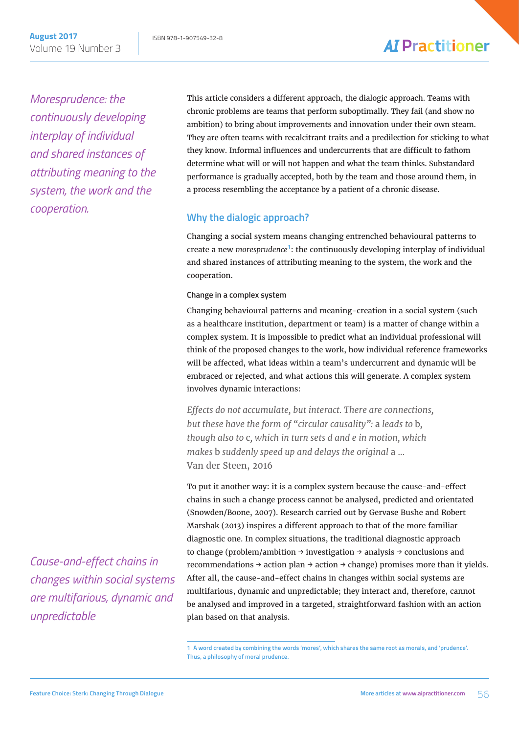*Moresprudence: the continuously developing interplay of individual and shared instances of attributing meaning to the system, the work and the cooperation.*

This article considers a different approach, the dialogic approach. Teams with chronic problems are teams that perform suboptimally. They fail (and show no ambition) to bring about improvements and innovation under their own steam. They are often teams with recalcitrant traits and a predilection for sticking to what they know. Informal influences and undercurrents that are difficult to fathom determine what will or will not happen and what the team thinks. Substandard performance is gradually accepted, both by the team and those around them, in a process resembling the acceptance by a patient of a chronic disease.

### **Why the dialogic approach?**

Changing a social system means changing entrenched behavioural patterns to create a new *moresprudence***<sup>1</sup>** : the continuously developing interplay of individual and shared instances of attributing meaning to the system, the work and the cooperation.

#### **Change in a complex system**

Changing behavioural patterns and meaning-creation in a social system (such as a healthcare institution, department or team) is a matter of change within a complex system. It is impossible to predict what an individual professional will think of the proposed changes to the work, how individual reference frameworks will be affected, what ideas within a team's undercurrent and dynamic will be embraced or rejected, and what actions this will generate. A complex system involves dynamic interactions:

*Effects do not accumulate, but interact. There are connections, but these have the form of "circular causality":* a *leads to* b*, though also to* c*, which in turn sets d and e in motion, which makes* b *suddenly speed up and delays the original* a *...*  Van der Steen, 2016

To put it another way: it is a complex system because the cause-and-effect chains in such a change process cannot be analysed, predicted and orientated (Snowden/Boone, 2007). Research carried out by Gervase Bushe and Robert Marshak (2013) inspires a different approach to that of the more familiar diagnostic one. In complex situations, the traditional diagnostic approach to change (problem/ambition  $\rightarrow$  investigation  $\rightarrow$  analysis  $\rightarrow$  conclusions and recommendations  $\rightarrow$  action plan  $\rightarrow$  action  $\rightarrow$  change) promises more than it yields. After all, the cause-and-effect chains in changes within social systems are multifarious, dynamic and unpredictable; they interact and, therefore, cannot be analysed and improved in a targeted, straightforward fashion with an action plan based on that analysis.

**1 A word created by combining the words 'mores', which shares the same root as morals, and 'prudence'. Thus, a philosophy of moral prudence.**

*Cause-and-effect chains in changes within social systems are multifarious, dynamic and unpredictable*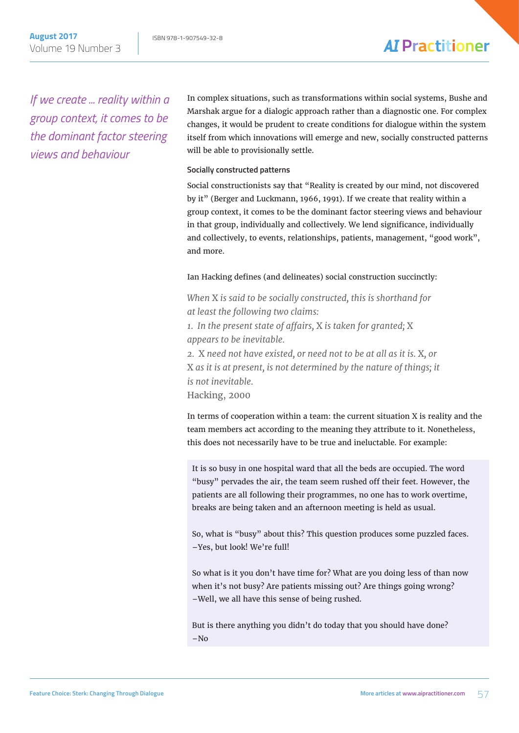*If we create ... reality within a group context, it comes to be the dominant factor steering views and behaviour*

In complex situations, such as transformations within social systems, Bushe and Marshak argue for a dialogic approach rather than a diagnostic one. For complex changes, it would be prudent to create conditions for dialogue within the system itself from which innovations will emerge and new, socially constructed patterns will be able to provisionally settle.

#### **Socially constructed patterns**

Social constructionists say that "Reality is created by our mind, not discovered by it" (Berger and Luckmann, 1966, 1991). If we create that reality within a group context, it comes to be the dominant factor steering views and behaviour in that group, individually and collectively. We lend significance, individually and collectively, to events, relationships, patients, management, "good work", and more.

#### Ian Hacking defines (and delineates) social construction succinctly:

*When* X *is said to be socially constructed, this is shorthand for at least the following two claims: 1. In the present state of affairs,* X *is taken for granted;* X *appears to be inevitable. 2.* X *need not have existed, or need not to be at all as it is.* X*, or*  X *as it is at present, is not determined by the nature of things; it is not inevitable.* Hacking, 2000

In terms of cooperation within a team: the current situation X is reality and the team members act according to the meaning they attribute to it. Nonetheless, this does not necessarily have to be true and ineluctable. For example:

It is so busy in one hospital ward that all the beds are occupied. The word "busy" pervades the air, the team seem rushed off their feet. However, the patients are all following their programmes, no one has to work overtime, breaks are being taken and an afternoon meeting is held as usual.

So, what is "busy" about this? This question produces some puzzled faces. –Yes, but look! We're full!

So what is it you don't have time for? What are you doing less of than now when it's not busy? Are patients missing out? Are things going wrong? –Well, we all have this sense of being rushed.

But is there anything you didn't do today that you should have done?  $-N<sub>0</sub>$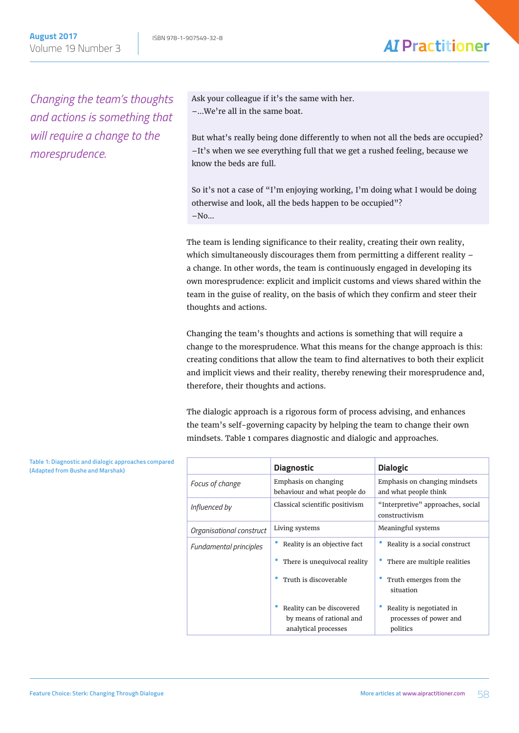*Changing the team's thoughts and actions is something that will require a change to the moresprudence.* 

Ask your colleague if it's the same with her. –...We're all in the same boat.

But what's really being done differently to when not all the beds are occupied? –It's when we see everything full that we get a rushed feeling, because we know the beds are full.

So it's not a case of "I'm enjoying working, I'm doing what I would be doing otherwise and look, all the beds happen to be occupied"?  $-No...$ 

The team is lending significance to their reality, creating their own reality, which simultaneously discourages them from permitting a different reality – a change. In other words, the team is continuously engaged in developing its own moresprudence: explicit and implicit customs and views shared within the team in the guise of reality, on the basis of which they confirm and steer their thoughts and actions.

Changing the team's thoughts and actions is something that will require a change to the moresprudence. What this means for the change approach is this: creating conditions that allow the team to find alternatives to both their explicit and implicit views and their reality, thereby renewing their moresprudence and, therefore, their thoughts and actions.

The dialogic approach is a rigorous form of process advising, and enhances the team's self-governing capacity by helping the team to change their own mindsets. Table 1 compares diagnostic and dialogic and approaches.

|                          | <b>Diagnostic</b>                                                             | <b>Dialogic</b>                                                |
|--------------------------|-------------------------------------------------------------------------------|----------------------------------------------------------------|
| Focus of change          | Emphasis on changing<br>behaviour and what people do                          | Emphasis on changing mindsets<br>and what people think         |
| Influenced by            | Classical scientific positivism                                               | "Interpretive" approaches, social<br>constructivism            |
| Organisational construct | Living systems                                                                | Meaningful systems                                             |
| Fundamental principles   | Reality is an objective fact                                                  | Reality is a social construct                                  |
|                          | There is unequivocal reality                                                  | There are multiple realities                                   |
|                          | Truth is discoverable                                                         | Truth emerges from the<br>situation                            |
|                          | Reality can be discovered<br>by means of rational and<br>analytical processes | Reality is negotiated in<br>processes of power and<br>politics |

**Table 1: Diagnostic and dialogic approaches compared (Adapted from Bushe and Marshak)**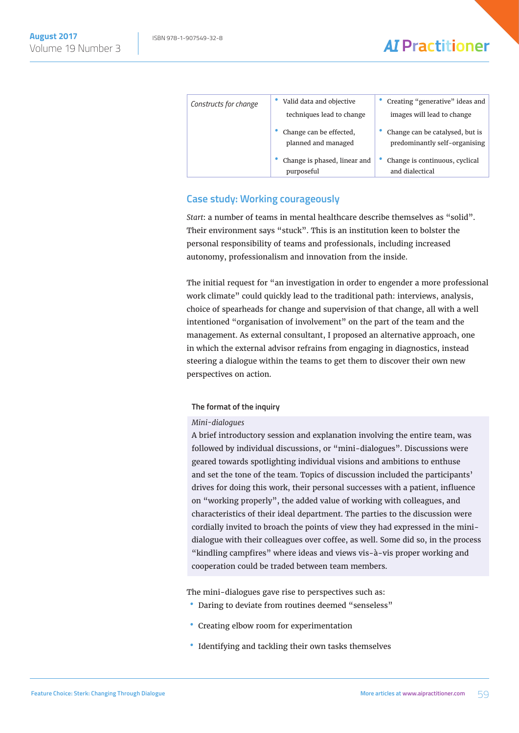| Constructs for change | Valid data and objective<br>techniques lead to change | Creating "generative" ideas and<br>images will lead to change    |
|-----------------------|-------------------------------------------------------|------------------------------------------------------------------|
|                       | Change can be effected,<br>planned and managed        | Change can be catalysed, but is<br>predominantly self-organising |
|                       | Change is phased, linear and<br>purposeful            | Change is continuous, cyclical<br>and dialectical                |

### **Case study: Working courageously**

*Start*: a number of teams in mental healthcare describe themselves as "solid". Their environment says "stuck". This is an institution keen to bolster the personal responsibility of teams and professionals, including increased autonomy, professionalism and innovation from the inside.

The initial request for "an investigation in order to engender a more professional work climate" could quickly lead to the traditional path: interviews, analysis, choice of spearheads for change and supervision of that change, all with a well intentioned "organisation of involvement" on the part of the team and the management. As external consultant, I proposed an alternative approach, one in which the external advisor refrains from engaging in diagnostics, instead steering a dialogue within the teams to get them to discover their own new perspectives on action.

#### **The format of the inquiry**

#### *Mini-dialogues*

A brief introductory session and explanation involving the entire team, was followed by individual discussions, or "mini-dialogues". Discussions were geared towards spotlighting individual visions and ambitions to enthuse and set the tone of the team. Topics of discussion included the participants' drives for doing this work, their personal successes with a patient, influence on "working properly", the added value of working with colleagues, and characteristics of their ideal department. The parties to the discussion were cordially invited to broach the points of view they had expressed in the minidialogue with their colleagues over coffee, as well. Some did so, in the process "kindling campfires" where ideas and views vis-à-vis proper working and cooperation could be traded between team members.

The mini-dialogues gave rise to perspectives such as:

- Daring to deviate from routines deemed "senseless"
- Creating elbow room for experimentation
- Identifying and tackling their own tasks themselves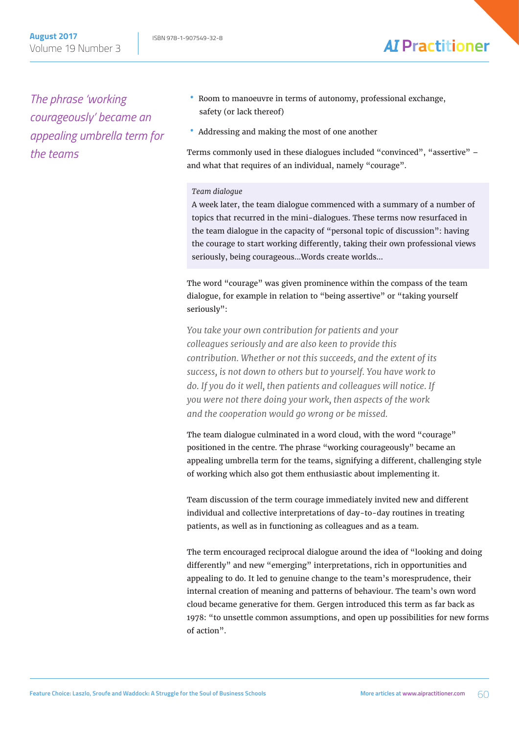*The phrase 'working courageously' became an appealing umbrella term for the teams*

Volume 19 Number 3

- Room to manoeuvre in terms of autonomy, professional exchange, safety (or lack thereof)
- Addressing and making the most of one another

Terms commonly used in these dialogues included "convinced", "assertive" – and what that requires of an individual, namely "courage".

#### *Team dialogue*

A week later, the team dialogue commenced with a summary of a number of topics that recurred in the mini-dialogues. These terms now resurfaced in the team dialogue in the capacity of "personal topic of discussion": having the courage to start working differently, taking their own professional views seriously, being courageous...Words create worlds...

The word "courage" was given prominence within the compass of the team dialogue, for example in relation to "being assertive" or "taking yourself seriously":

*You take your own contribution for patients and your colleagues seriously and are also keen to provide this contribution. Whether or not this succeeds, and the extent of its success, is not down to others but to yourself. You have work to do. If you do it well, then patients and colleagues will notice. If you were not there doing your work, then aspects of the work and the cooperation would go wrong or be missed.*

The team dialogue culminated in a word cloud, with the word "courage" positioned in the centre. The phrase "working courageously" became an appealing umbrella term for the teams, signifying a different, challenging style of working which also got them enthusiastic about implementing it.

Team discussion of the term courage immediately invited new and different individual and collective interpretations of day-to-day routines in treating patients, as well as in functioning as colleagues and as a team.

The term encouraged reciprocal dialogue around the idea of "looking and doing differently" and new "emerging" interpretations, rich in opportunities and appealing to do. It led to genuine change to the team's moresprudence, their internal creation of meaning and patterns of behaviour. The team's own word cloud became generative for them. Gergen introduced this term as far back as 1978: "to unsettle common assumptions, and open up possibilities for new forms of action".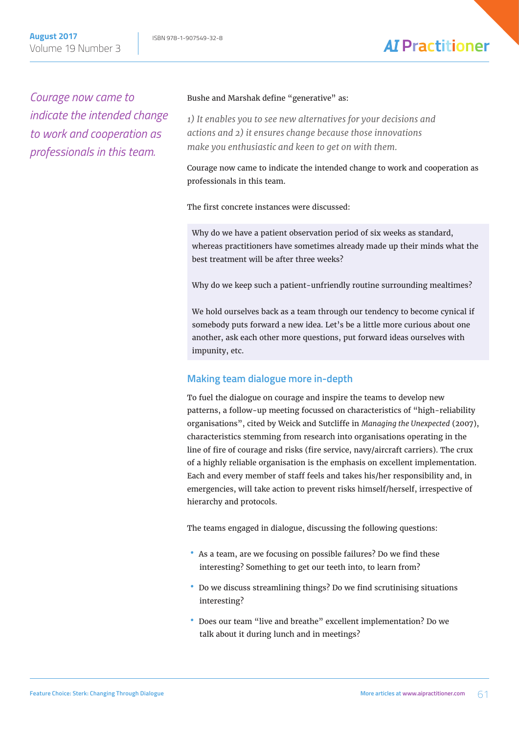*Courage now came to indicate the intended change to work and cooperation as professionals in this team.*

#### Bushe and Marshak define "generative" as:

*1) It enables you to see new alternatives for your decisions and actions and 2) it ensures change because those innovations make you enthusiastic and keen to get on with them.*

Courage now came to indicate the intended change to work and cooperation as professionals in this team.

The first concrete instances were discussed:

Why do we have a patient observation period of six weeks as standard, whereas practitioners have sometimes already made up their minds what the best treatment will be after three weeks?

Why do we keep such a patient-unfriendly routine surrounding mealtimes?

We hold ourselves back as a team through our tendency to become cynical if somebody puts forward a new idea. Let's be a little more curious about one another, ask each other more questions, put forward ideas ourselves with impunity, etc.

### **Making team dialogue more in-depth**

To fuel the dialogue on courage and inspire the teams to develop new patterns, a follow-up meeting focussed on characteristics of "high-reliability organisations", cited by Weick and Sutcliffe in *Managing the Unexpected* (2007), characteristics stemming from research into organisations operating in the line of fire of courage and risks (fire service, navy/aircraft carriers). The crux of a highly reliable organisation is the emphasis on excellent implementation. Each and every member of staff feels and takes his/her responsibility and, in emergencies, will take action to prevent risks himself/herself, irrespective of hierarchy and protocols.

The teams engaged in dialogue, discussing the following questions:

- As a team, are we focusing on possible failures? Do we find these interesting? Something to get our teeth into, to learn from?
- Do we discuss streamlining things? Do we find scrutinising situations interesting?
- Does our team "live and breathe" excellent implementation? Do we talk about it during lunch and in meetings?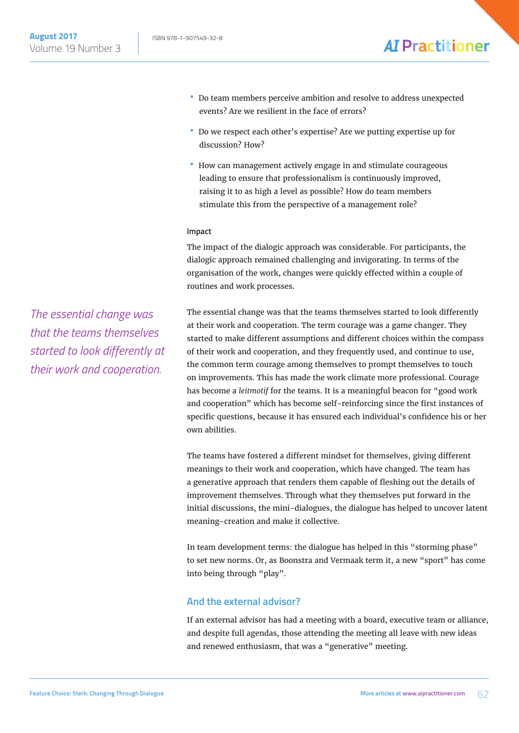- •• Do team members perceive ambition and resolve to address unexpected events? Are we resilient in the face of errors?
- •• Do we respect each other's expertise? Are we putting expertise up for discussion? How?
- How can management actively engage in and stimulate courageous leading to ensure that professionalism is continuously improved, raising it to as high a level as possible? How do team members stimulate this from the perspective of a management role?

#### **Impact**

The impact of the dialogic approach was considerable. For participants, the dialogic approach remained challenging and invigorating. In terms of the organisation of the work, changes were quickly effected within a couple of routines and work processes.

The essential change was that the teams themselves started to look differently at their work and cooperation. The term courage was a game changer. They started to make different assumptions and different choices within the compass of their work and cooperation, and they frequently used, and continue to use, the common term courage among themselves to prompt themselves to touch on improvements. This has made the work climate more professional. Courage has become a *leitmotif* for the teams. It is a meaningful beacon for "good work and cooperation" which has become self-reinforcing since the first instances of specific questions, because it has ensured each individual's confidence his or her own abilities.

The teams have fostered a different mindset for themselves, giving different meanings to their work and cooperation, which have changed. The team has a generative approach that renders them capable of fleshing out the details of improvement themselves. Through what they themselves put forward in the initial discussions, the mini-dialogues, the dialogue has helped to uncover latent meaning-creation and make it collective.

In team development terms: the dialogue has helped in this "storming phase" to set new norms. Or, as Boonstra and Vermaak term it, a new "sport" has come into being through "play".

#### **And the external advisor?**

If an external advisor has had a meeting with a board, executive team or alliance, and despite full agendas, those attending the meeting all leave with new ideas and renewed enthusiasm, that was a "generative" meeting.

*The essential change was that the teams themselves started to look differently at their work and cooperation.*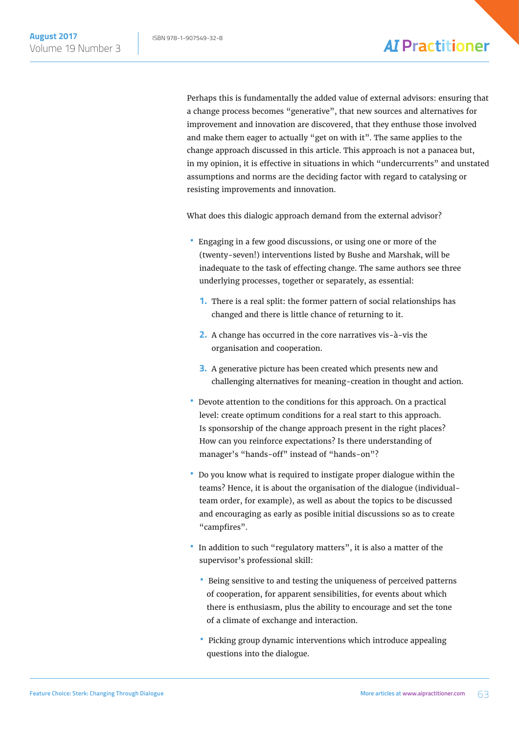Perhaps this is fundamentally the added value of external advisors: ensuring that a change process becomes "generative", that new sources and alternatives for improvement and innovation are discovered, that they enthuse those involved and make them eager to actually "get on with it". The same applies to the change approach discussed in this article. This approach is not a panacea but, in my opinion, it is effective in situations in which "undercurrents" and unstated assumptions and norms are the deciding factor with regard to catalysing or resisting improvements and innovation.

What does this dialogic approach demand from the external advisor?

- Engaging in a few good discussions, or using one or more of the (twenty-seven!) interventions listed by Bushe and Marshak, will be inadequate to the task of effecting change. The same authors see three underlying processes, together or separately, as essential:
	- **1.** There is a real split: the former pattern of social relationships has changed and there is little chance of returning to it.
	- **2.** A change has occurred in the core narratives vis-à-vis the organisation and cooperation.
	- **3.** A generative picture has been created which presents new and challenging alternatives for meaning-creation in thought and action.
- Devote attention to the conditions for this approach. On a practical level: create optimum conditions for a real start to this approach. Is sponsorship of the change approach present in the right places? How can you reinforce expectations? Is there understanding of manager's "hands-off" instead of "hands-on"?
- •• Do you know what is required to instigate proper dialogue within the teams? Hence, it is about the organisation of the dialogue (individualteam order, for example), as well as about the topics to be discussed and encouraging as early as posible initial discussions so as to create "campfires".
- In addition to such "regulatory matters", it is also a matter of the supervisor's professional skill:
	- Being sensitive to and testing the uniqueness of perceived patterns of cooperation, for apparent sensibilities, for events about which there is enthusiasm, plus the ability to encourage and set the tone of a climate of exchange and interaction.
	- Picking group dynamic interventions which introduce appealing questions into the dialogue.